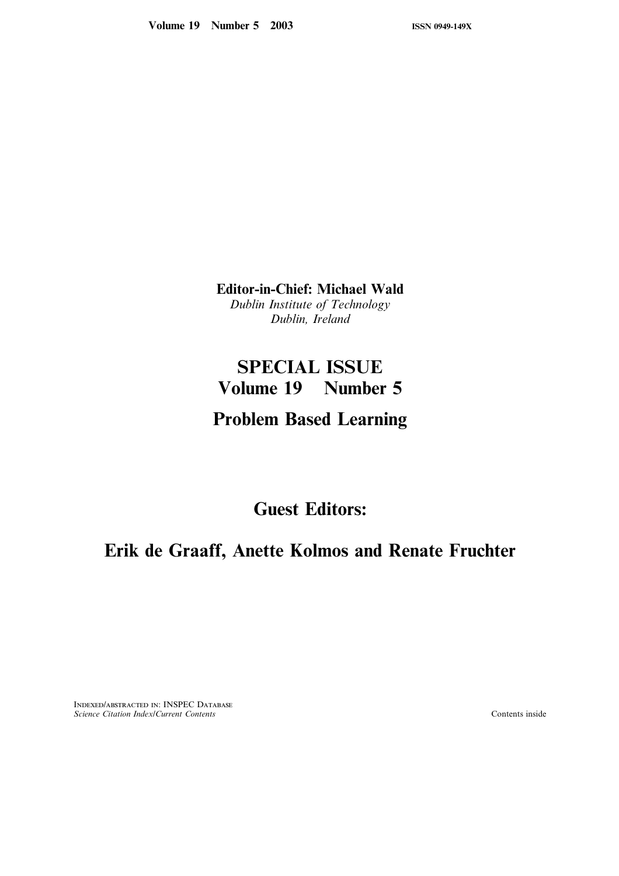Editor-in-Chief: Michael Wald

Dublin Institute of Technology Dublin, Ireland

## SPECIAL ISSUE Volume 19 Number 5

### Problem Based Learning

Guest Editors:

### Erik de Graaff, Anette Kolmos and Renate Fruchter

Indexed/abstracted in: INSPEC Database Science Citation Index/Current Contents........................................................ Contents inside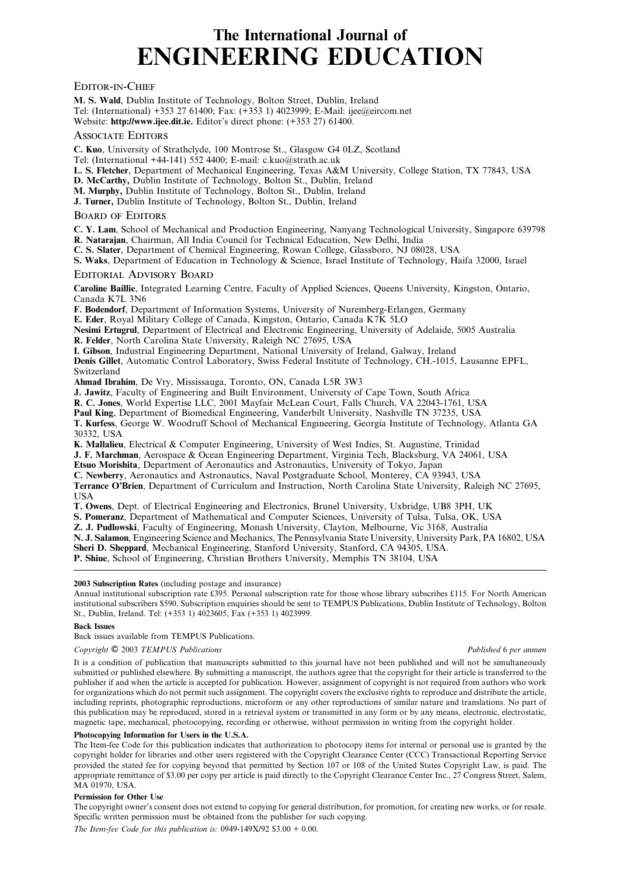# The International Journal of ENGINEERING EDUCATION

#### Editor-in-Chief

M. S. Wald, Dublin Institute of Technology, Bolton Street, Dublin, Ireland Tel: (International) +353 27 61400; Fax: (+353 1) 4023999; E-Mail: ijee@eircom.net Website: http://www.ijee.dit.ie. Editor's direct phone: (+353 27) 61400.

#### ASSOCIATE EDITORS

C. Kuo, University of Strathclyde, 100 Montrose St., Glasgow G4 0LZ, Scotland

Tel: (International +44-141) 552 4400; E-mail: c.kuo@strath.ac.uk

L. S. Fletcher, Department of Mechanical Engineering, Texas A&M University, College Station, TX 77843, USA

D. McCarthy, Dublin Institute of Technology, Bolton St., Dublin, Ireland

M. Murphy, Dublin Institute of Technology, Bolton St., Dublin, Ireland

J. Turner, Dublin Institute of Technology, Bolton St., Dublin, Ireland

#### BOARD OF EDITORS

C. Y. Lam, School of Mechanical and Production Engineering, Nanyang Technological University, Singapore 639798

R. Natarajan, Chairman, All India Council for Technical Education, New Delhi, India

C. S. Slater, Department of Chemical Engineering, Rowan College, Glassboro, NJ 08028, USA

S. Waks, Department of Education in Technology & Science, Israel Institute of Technology, Haifa 32000, Israel

#### Editorial Advisory Board

Caroline Baillie, Integrated Learning Centre, Faculty of Applied Sciences, Queens University, Kingston, Ontario, Canada K7L 3N6

F. Bodendorf, Department of Information Systems, University of Nuremberg-Erlangen, Germany

E. Eder, Royal Military College of Canada, Kingston, Ontario, Canada K7K 5LO

Nesimi Ertugrul, Department of Electrical and Electronic Engineering, University of Adelaide, 5005 Australia

R. Felder, North Carolina State University, Raleigh NC 27695, USA

I. Gibson, Industrial Engineering Department, National University of Ireland, Galway, Ireland

Denis Gillet, Automatic Control Laboratory, Swiss Federal Institute of Technology, CH.-1015, Lausanne EPFL, Switzerland

Ahmad Ibrahim, De Vry, Mississauga, Toronto, ON, Canada L5R 3W3

J. Jawitz, Faculty of Engineering and Built Environment, University of Cape Town, South Africa

R. C. Jones, World Expertise LLC, 2001 Mayfair McLean Court, Falls Church, VA 22043-1761, USA

Paul King, Department of Biomedical Engineering, Vanderbilt University, Nashville TN 37235, USA

T. Kurfess, George W. Woodruff School of Mechanical Engineering, Georgia Institute of Technology, Atlanta GA 30332, USA

K. Mallalieu, Electrical & Computer Engineering, University of West Indies, St. Augustine, Trinidad

J. F. Marchman, Aerospace & Ocean Engineering Department, Virginia Tech, Blacksburg, VA 24061, USA

Etsuo Morishita, Department of Aeronautics and Astronautics, University of Tokyo, Japan

C. Newberry, Aeronautics and Astronautics, Naval Postgraduate School, Monterey, CA 93943, USA

Terrance O'Brien, Department of Curriculum and Instruction, North Carolina State University, Raleigh NC 27695, USA

T. Owens, Dept. of Electrical Engineering and Electronics, Brunel University, Uxbridge, UB8 3PH, UK

S. Pomeranz, Department of Mathematical and Computer Sciences, University of Tulsa, Tulsa, OK, USA

Z. J. Pudlowski, Faculty of Engineering, Monash University, Clayton, Melbourne, Vic 3168, Australia

N. J. Salamon, Engineering Science and Mechanics, The Pennsylvania State University, University Park, PA 16802, USA

Sheri D. Sheppard, Mechanical Engineering, Stanford University, Stanford, CA 94305, USA.

P. Shiue, School of Engineering, Christian Brothers University, Memphis TN 38104, USA

#### 2003 Subscription Rates (including postage and insurance)

Annual institutional subscription rate £395. Personal subscription rate for those whose library subscribes £115. For North American institutional subscribers \$590. Subscription enquiries should be sent to TEMPUS Publications, Dublin Institute of Technology, Bolton St., Dublin, Ireland. Tel: (+353 1) 4023605, Fax (+353 1) 4023999.

#### Back Issues

Back issues available from TEMPUS Publications.

Copyright  $\oslash$  2003 TEMPUS Publications Copyright A 2003 TEMPUS Published 6 per annum

It is a condition of publication that manuscripts submitted to this journal have not been published and will not be simultaneously submitted or published elsewhere. By submitting a manuscript, the authors agree that the copyright for their article is transferred to the publisher if and when the article is accepted for publication. However, assignment of copyright is not required from authors who work for organizations which do not permit such assignment. The copyright covers the exclusive rights to reproduce and distribute the article, including reprints, photographic reproductions, microform or any other reproductions of similar nature and translations. No part of this publication may be reproduced, stored in a retrieval system or transmitted in any form or by any means, electronic, electrostatic, magnetic tape, mechanical, photocopying, recording or otherwise, without permission in writing from the copyright holder.

Photocopying Information for Users in the U.S.A.

The Item-fee Code for this publication indicates that authorization to photocopy items for internal or personal use is granted by the copyright holder for libraries and other users registered with the Copyright Clearance Center (CCC) Transactional Reporting Service provided the stated fee for copying beyond that permitted by Section 107 or 108 of the United States Copyright Law, is paid. The appropriate remittance of \$3.00 per copy per article is paid directly to the Copyright Clearance Center Inc., 27 Congress Street, Salem, MA 01970, USA.

#### Permission for Other Use

The copyright owner's consent does not extend to copying for general distribution, for promotion, for creating new works, or for resale. Specific written permission must be obtained from the publisher for such copying.

The Item-fee Code for this publication is:  $0949-149X/92$  \$3.00 + 0.00.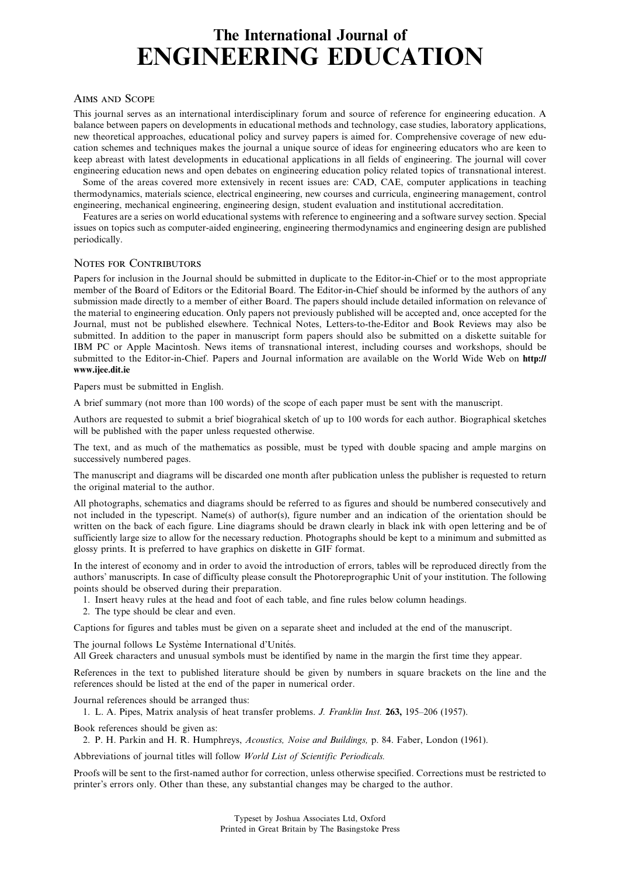# The International Journal of ENGINEERING EDUCATION

#### Aims and Scope

This journal serves as an international interdisciplinary forum and source of reference for engineering education. A balance between papers on developments in educational methods and technology, case studies, laboratory applications, new theoretical approaches, educational policy and survey papers is aimed for. Comprehensive coverage of new education schemes and techniques makes the journal a unique source of ideas for engineering educators who are keen to keep abreast with latest developments in educational applications in all fields of engineering. The journal will cover engineering education news and open debates on engineering education policy related topics of transnational interest.

Some of the areas covered more extensively in recent issues are: CAD, CAE, computer applications in teaching thermodynamics, materials science, electrical engineering, new courses and curricula, engineering management, control engineering, mechanical engineering, engineering design, student evaluation and institutional accreditation.

Features are a series on world educational systems with reference to engineering and a software survey section. Special issues on topics such as computer-aided engineering, engineering thermodynamics and engineering design are published periodically.

#### NOTES FOR CONTRIBUTORS

Papers for inclusion in the Journal should be submitted in duplicate to the Editor-in-Chief or to the most appropriate member of the Board of Editors or the Editorial Board. The Editor-in-Chief should be informed by the authors of any submission made directly to a member of either Board. The papers should include detailed information on relevance of the material to engineering education. Only papers not previously published will be accepted and, once accepted for the Journal, must not be published elsewhere. Technical Notes, Letters-to-the-Editor and Book Reviews may also be submitted. In addition to the paper in manuscript form papers should also be submitted on a diskette suitable for IBM PC or Apple Macintosh. News items of transnational interest, including courses and workshops, should be submitted to the Editor-in-Chief. Papers and Journal information are available on the World Wide Web on http:// www.ijee.dit.ie

Papers must be submitted in English.

A brief summary (not more than 100 words) of the scope of each paper must be sent with the manuscript.

Authors are requested to submit a brief biograhical sketch of up to 100 words for each author. Biographical sketches will be published with the paper unless requested otherwise.

The text, and as much of the mathematics as possible, must be typed with double spacing and ample margins on successively numbered pages.

The manuscript and diagrams will be discarded one month after publication unless the publisher is requested to return the original material to the author.

All photographs, schematics and diagrams should be referred to as figures and should be numbered consecutively and not included in the typescript. Name(s) of author(s), figure number and an indication of the orientation should be written on the back of each figure. Line diagrams should be drawn clearly in black ink with open lettering and be of sufficiently large size to allow for the necessary reduction. Photographs should be kept to a minimum and submitted as glossy prints. It is preferred to have graphics on diskette in GIF format.

In the interest of economy and in order to avoid the introduction of errors, tables will be reproduced directly from the authors' manuscripts. In case of difficulty please consult the Photoreprographic Unit of your institution. The following points should be observed during their preparation.

- 1. Insert heavy rules at the head and foot of each table, and fine rules below column headings.
- 2. The type should be clear and even.

Captions for figures and tables must be given on a separate sheet and included at the end of the manuscript.

The journal follows Le Système International d'Unités.

All Greek characters and unusual symbols must be identified by name in the margin the first time they appear.

References in the text to published literature should be given by numbers in square brackets on the line and the references should be listed at the end of the paper in numerical order.

Journal references should be arranged thus:

1. L. A. Pipes, Matrix analysis of heat transfer problems. J. Franklin Inst. 263, 195–206 (1957).

Book references should be given as:

2. P. H. Parkin and H. R. Humphreys, Acoustics, Noise and Buildings, p. 84. Faber, London (1961).

Abbreviations of journal titles will follow World List of Scientific Periodicals.

Proofs will be sent to the first-named author for correction, unless otherwise specified. Corrections must be restricted to printer's errors only. Other than these, any substantial changes may be charged to the author.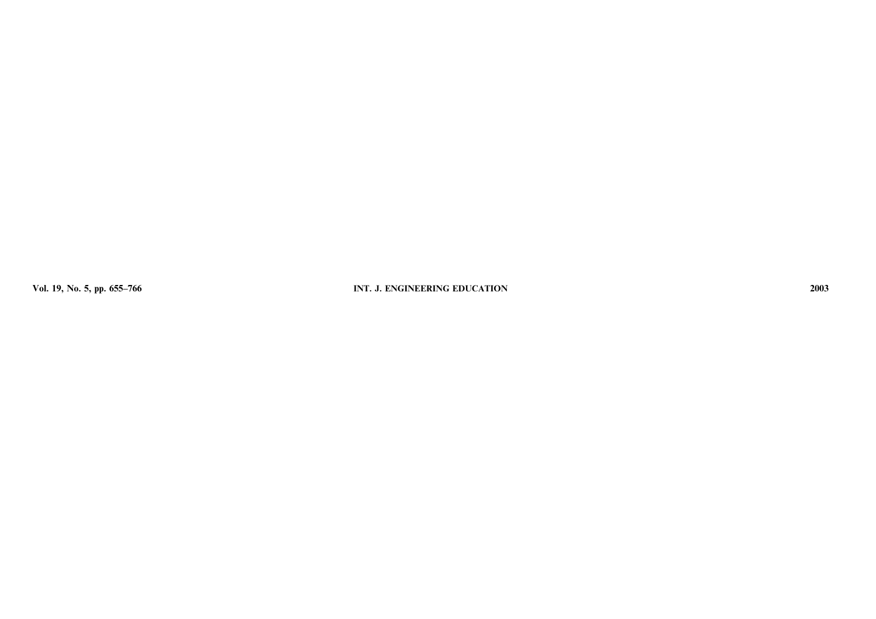Vol. 19, No. 5, pp. 655–766 **INT. J. ENGINEERING EDUCATION** 2003